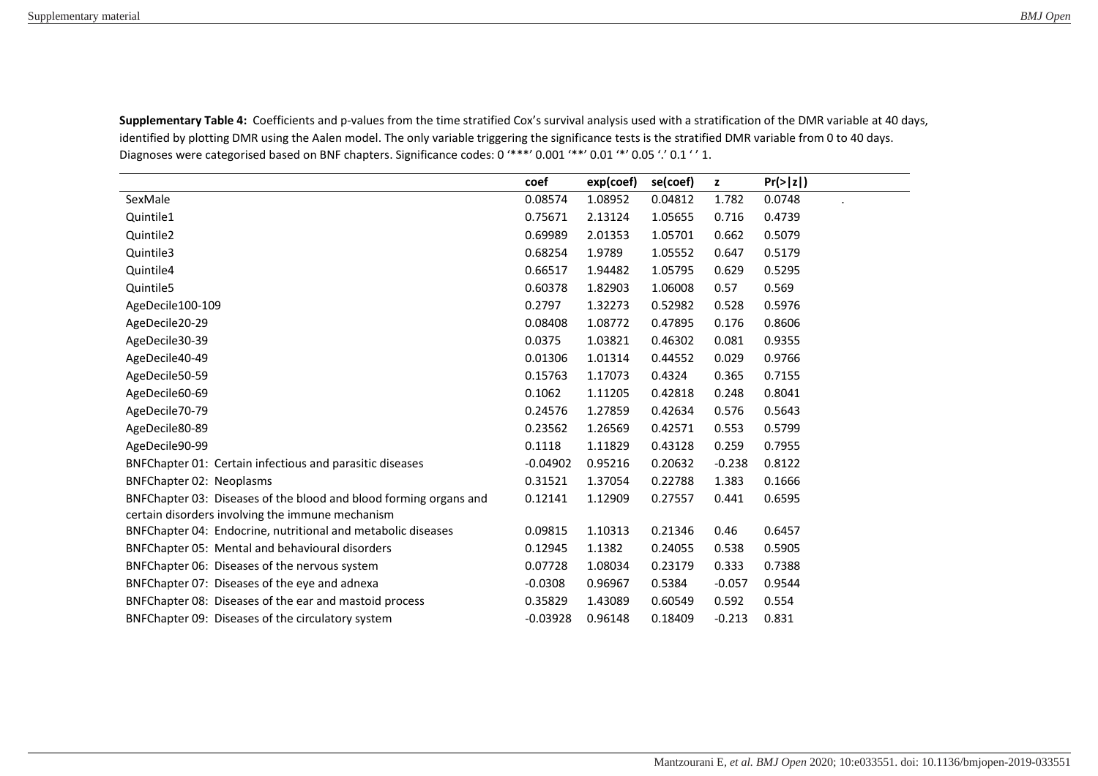|                                                                   | coef       | exp(coef) | se(coef) | $\mathbf{z}$ | Pr(>  z ) |
|-------------------------------------------------------------------|------------|-----------|----------|--------------|-----------|
| SexMale                                                           | 0.08574    | 1.08952   | 0.04812  | 1.782        | 0.0748    |
| Quintile1                                                         | 0.75671    | 2.13124   | 1.05655  | 0.716        | 0.4739    |
| Quintile2                                                         | 0.69989    | 2.01353   | 1.05701  | 0.662        | 0.5079    |
| Quintile3                                                         | 0.68254    | 1.9789    | 1.05552  | 0.647        | 0.5179    |
| Quintile4                                                         | 0.66517    | 1.94482   | 1.05795  | 0.629        | 0.5295    |
| Quintile5                                                         | 0.60378    | 1.82903   | 1.06008  | 0.57         | 0.569     |
| AgeDecile100-109                                                  | 0.2797     | 1.32273   | 0.52982  | 0.528        | 0.5976    |
| AgeDecile20-29                                                    | 0.08408    | 1.08772   | 0.47895  | 0.176        | 0.8606    |
| AgeDecile30-39                                                    | 0.0375     | 1.03821   | 0.46302  | 0.081        | 0.9355    |
| AgeDecile40-49                                                    | 0.01306    | 1.01314   | 0.44552  | 0.029        | 0.9766    |
| AgeDecile50-59                                                    | 0.15763    | 1.17073   | 0.4324   | 0.365        | 0.7155    |
| AgeDecile60-69                                                    | 0.1062     | 1.11205   | 0.42818  | 0.248        | 0.8041    |
| AgeDecile70-79                                                    | 0.24576    | 1.27859   | 0.42634  | 0.576        | 0.5643    |
| AgeDecile80-89                                                    | 0.23562    | 1.26569   | 0.42571  | 0.553        | 0.5799    |
| AgeDecile90-99                                                    | 0.1118     | 1.11829   | 0.43128  | 0.259        | 0.7955    |
| BNFChapter 01: Certain infectious and parasitic diseases          | $-0.04902$ | 0.95216   | 0.20632  | $-0.238$     | 0.8122    |
| <b>BNFChapter 02: Neoplasms</b>                                   | 0.31521    | 1.37054   | 0.22788  | 1.383        | 0.1666    |
| BNFChapter 03: Diseases of the blood and blood forming organs and | 0.12141    | 1.12909   | 0.27557  | 0.441        | 0.6595    |
| certain disorders involving the immune mechanism                  |            |           |          |              |           |
| BNFChapter 04: Endocrine, nutritional and metabolic diseases      | 0.09815    | 1.10313   | 0.21346  | 0.46         | 0.6457    |
| BNFChapter 05: Mental and behavioural disorders                   | 0.12945    | 1.1382    | 0.24055  | 0.538        | 0.5905    |
| BNFChapter 06: Diseases of the nervous system                     | 0.07728    | 1.08034   | 0.23179  | 0.333        | 0.7388    |
| BNFChapter 07: Diseases of the eye and adnexa                     | $-0.0308$  | 0.96967   | 0.5384   | $-0.057$     | 0.9544    |
| BNFChapter 08: Diseases of the ear and mastoid process            | 0.35829    | 1.43089   | 0.60549  | 0.592        | 0.554     |
| BNFChapter 09: Diseases of the circulatory system                 | $-0.03928$ | 0.96148   | 0.18409  | $-0.213$     | 0.831     |

Supplementary Table 4: Coefficients and p-values from the time stratified Cox's survival analysis used with a stratification of the DMR variable at 40 days, identified by plotting DMR using the Aalen model. The only variable triggering the significance tests is the stratified DMR variable from 0 to 40 days. Diagnoses were categorised based on BNF chapters. Significance codes: 0 '\*\*\*' 0.001 '\*\*' 0.01 '\*' 0.05 '.' 0.1 '' 1.